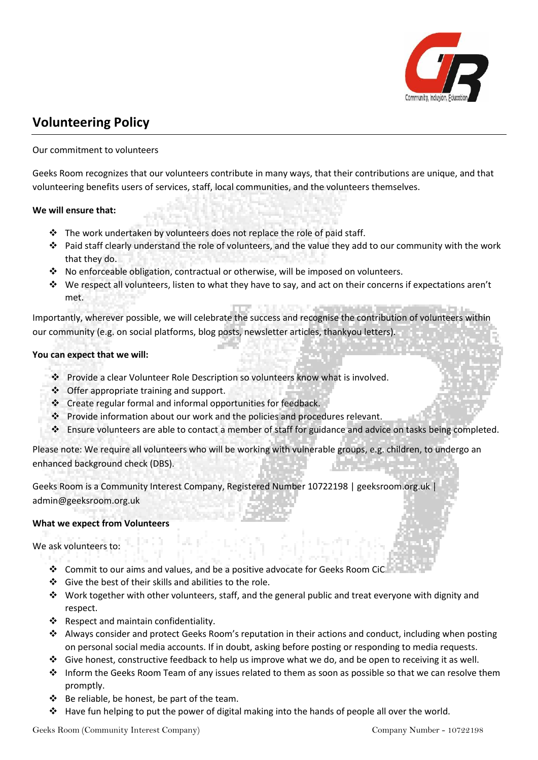

# **Volunteering Policy**

# Our commitment to volunteers

Geeks Room recognizes that our volunteers contribute in many ways, that their contributions are unique, and that volunteering benefits users of services, staff, local communities, and the volunteers themselves.

## **We will ensure that:**

- ❖ The work undertaken by volunteers does not replace the role of paid staff.
- ❖ Paid staff clearly understand the role of volunteers, and the value they add to our community with the work that they do.
- ❖ No enforceable obligation, contractual or otherwise, will be imposed on volunteers.
- ❖ We respect all volunteers, listen to what they have to say, and act on their concerns if expectations aren't met.

Importantly, wherever possible, we will celebrate the success and recognise the contribution of volunteers within our community (e.g. on social platforms, blog posts, newsletter articles, thankyou letters).

## **You can expect that we will:**

- ❖ Provide a clear Volunteer Role Description so volunteers know what is involved.
- ❖ Offer appropriate training and support.
- ❖ Create regular formal and informal opportunities for feedback.
- ❖ Provide information about our work and the policies and procedures relevant.
- ❖ Ensure volunteers are able to contact a member of staff for guidance and advice on tasks being completed.

Please note: We require all volunteers who will be working with vulnerable groups, e.g. children, to undergo an enhanced background check (DBS).

Geeks Room is a Community Interest Company, Registered Number 10722198 | geeksroom.org.uk | admin@geeksroom.org.uk

## **What we expect from Volunteers**

We ask volunteers to:

- ❖ Commit to our aims and values, and be a positive advocate for Geeks Room CiC
- ❖ Give the best of their skills and abilities to the role.
- ❖ Work together with other volunteers, staff, and the general public and treat everyone with dignity and respect.
- ❖ Respect and maintain confidentiality.
- ❖ Always consider and protect Geeks Room's reputation in their actions and conduct, including when posting on personal social media accounts. If in doubt, asking before posting or responding to media requests.
- ❖ Give honest, constructive feedback to help us improve what we do, and be open to receiving it as well.
- ❖ Inform the Geeks Room Team of any issues related to them as soon as possible so that we can resolve them promptly.
- ❖ Be reliable, be honest, be part of the team.
- ❖ Have fun helping to put the power of digital making into the hands of people all over the world.